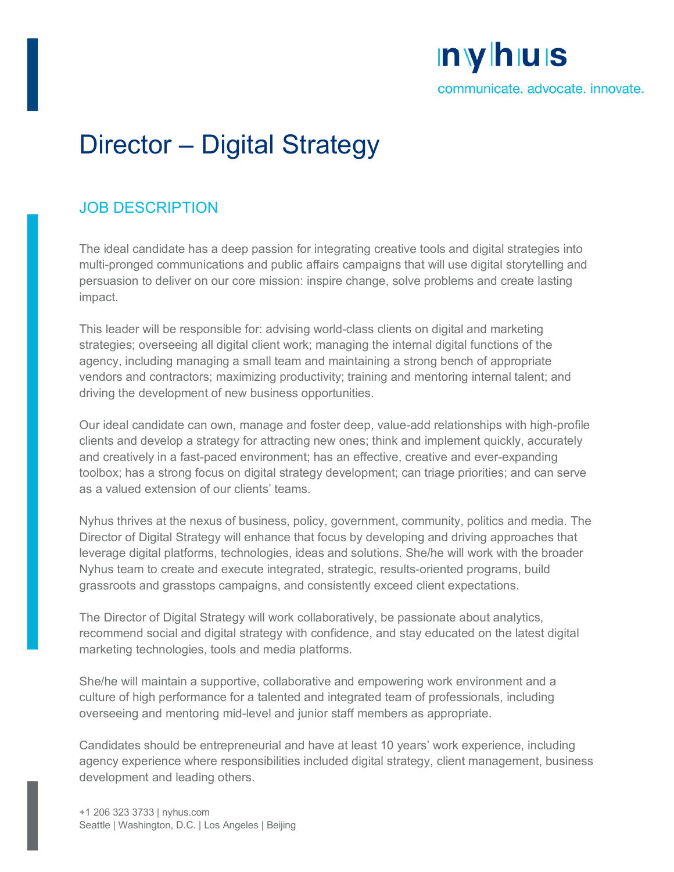# **nyhus**

communicate. advocate. innovate.

## Director – Digital Strategy

### JOB DESCRIPTION

The ideal candidate has a deep passion for integrating creative tools and digital strategies into multi-pronged communications and public affairs campaigns that will use digital storytelling and persuasion to deliver on our core mission: inspire change, solve problems and create lasting impact.

This leader will be responsible for: advising world-class clients on digital and marketing strategies; overseeing all digital client work; managing the internal digital functions of the agency, including managing a small team and maintaining a strong bench of appropriate vendors and contractors; maximizing productivity; training and mentoring internal talent; and driving the development of new business opportunities.

Our ideal candidate can own, manage and foster deep, value-add relationships with high-profile clients and develop a strategy for attracting new ones; think and implement quickly, accurately and creatively in a fast-paced environment; has an effective, creative and ever-expanding toolbox; has a strong focus on digital strategy development; can triage priorities; and can serve as a valued extension of our clients' teams.

Nyhus thrives at the nexus of business, policy, government, community, politics and media. The Director of Digital Strategy will enhance that focus by developing and driving approaches that leverage digital platforms, technologies, ideas and solutions. She/he will work with the broader Nyhus team to create and execute integrated, strategic, results-oriented programs, build grassroots and grasstops campaigns, and consistently exceed client expectations.

The Director of Digital Strategy will work collaboratively, be passionate about analytics, recommend social and digital strategy with confidence, and stay educated on the latest digital marketing technologies, tools and media platforms.

She/he will maintain a supportive, collaborative and empowering work environment and a culture of high performance for a talented and integrated team of professionals, including overseeing and mentoring mid-level and junior staff members as appropriate.

Candidates should be entrepreneurial and have at least 10 years' work experience, including agency experience where responsibilities included digital strategy, client management, business development and leading others.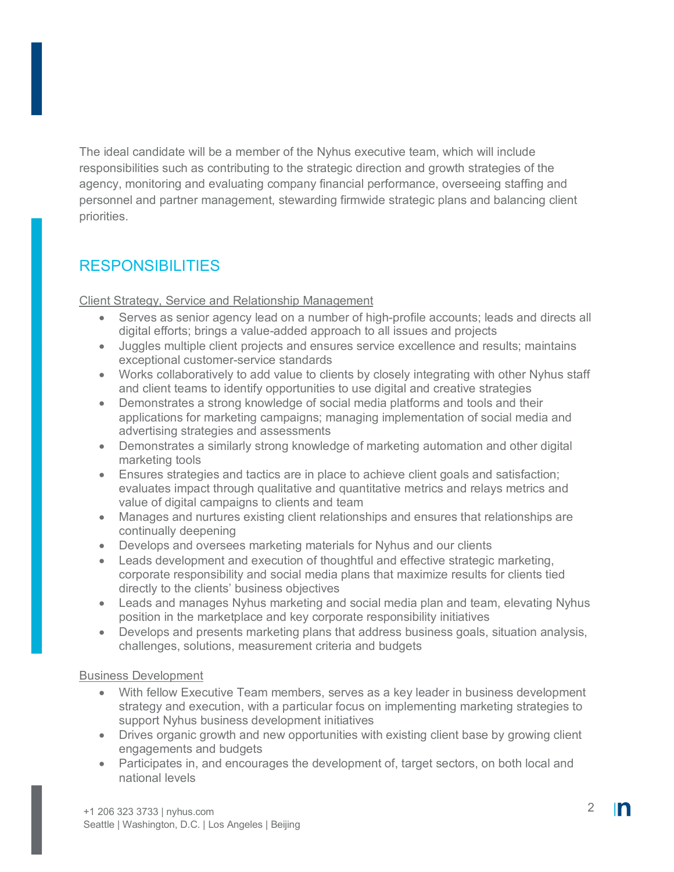The ideal candidate will be a member of the Nyhus executive team, which will include responsibilities such as contributing to the strategic direction and growth strategies of the agency, monitoring and evaluating company financial performance, overseeing staffing and personnel and partner management, stewarding firmwide strategic plans and balancing client priorities.

## RESPONSIBILITIES

Client Strategy, Service and Relationship Management

- Serves as senior agency lead on a number of high-profile accounts; leads and directs all digital efforts; brings a value-added approach to all issues and projects
- Juggles multiple client projects and ensures service excellence and results; maintains exceptional customer-service standards
- Works collaboratively to add value to clients by closely integrating with other Nyhus staff and client teams to identify opportunities to use digital and creative strategies
- Demonstrates a strong knowledge of social media platforms and tools and their applications for marketing campaigns; managing implementation of social media and advertising strategies and assessments
- Demonstrates a similarly strong knowledge of marketing automation and other digital marketing tools
- Ensures strategies and tactics are in place to achieve client goals and satisfaction; evaluates impact through qualitative and quantitative metrics and relays metrics and value of digital campaigns to clients and team
- Manages and nurtures existing client relationships and ensures that relationships are continually deepening
- Develops and oversees marketing materials for Nyhus and our clients
- Leads development and execution of thoughtful and effective strategic marketing, corporate responsibility and social media plans that maximize results for clients tied directly to the clients' business objectives
- Leads and manages Nyhus marketing and social media plan and team, elevating Nyhus position in the marketplace and key corporate responsibility initiatives
- Develops and presents marketing plans that address business goals, situation analysis, challenges, solutions, measurement criteria and budgets

#### Business Development

- With fellow Executive Team members, serves as a key leader in business development strategy and execution, with a particular focus on implementing marketing strategies to support Nyhus business development initiatives
- Drives organic growth and new opportunities with existing client base by growing client engagements and budgets
- Participates in, and encourages the development of, target sectors, on both local and national levels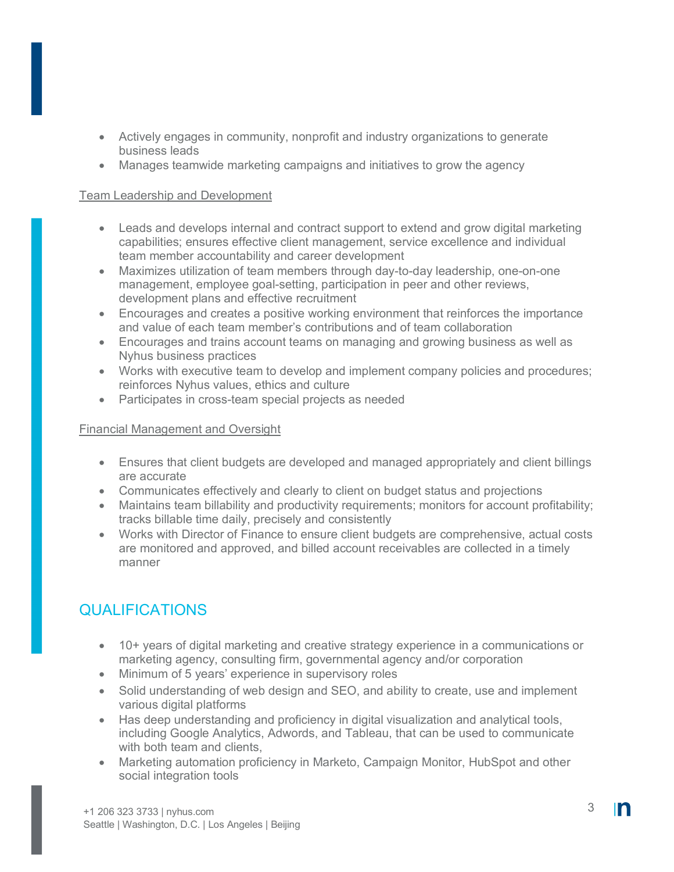- Actively engages in community, nonprofit and industry organizations to generate business leads
- Manages teamwide marketing campaigns and initiatives to grow the agency

#### Team Leadership and Development

- Leads and develops internal and contract support to extend and grow digital marketing capabilities; ensures effective client management, service excellence and individual team member accountability and career development
- Maximizes utilization of team members through day-to-day leadership, one-on-one management, employee goal-setting, participation in peer and other reviews, development plans and effective recruitment
- Encourages and creates a positive working environment that reinforces the importance and value of each team member's contributions and of team collaboration
- Encourages and trains account teams on managing and growing business as well as Nyhus business practices
- Works with executive team to develop and implement company policies and procedures; reinforces Nyhus values, ethics and culture
- Participates in cross-team special projects as needed

#### Financial Management and Oversight

- Ensures that client budgets are developed and managed appropriately and client billings are accurate
- Communicates effectively and clearly to client on budget status and projections
- Maintains team billability and productivity requirements; monitors for account profitability; tracks billable time daily, precisely and consistently
- Works with Director of Finance to ensure client budgets are comprehensive, actual costs are monitored and approved, and billed account receivables are collected in a timely manner

## QUALIFICATIONS

- 10+ years of digital marketing and creative strategy experience in a communications or marketing agency, consulting firm, governmental agency and/or corporation
- Minimum of 5 years' experience in supervisory roles
- Solid understanding of web design and SEO, and ability to create, use and implement various digital platforms
- Has deep understanding and proficiency in digital visualization and analytical tools, including Google Analytics, Adwords, and Tableau, that can be used to communicate with both team and clients.
- Marketing automation proficiency in Marketo, Campaign Monitor, HubSpot and other social integration tools